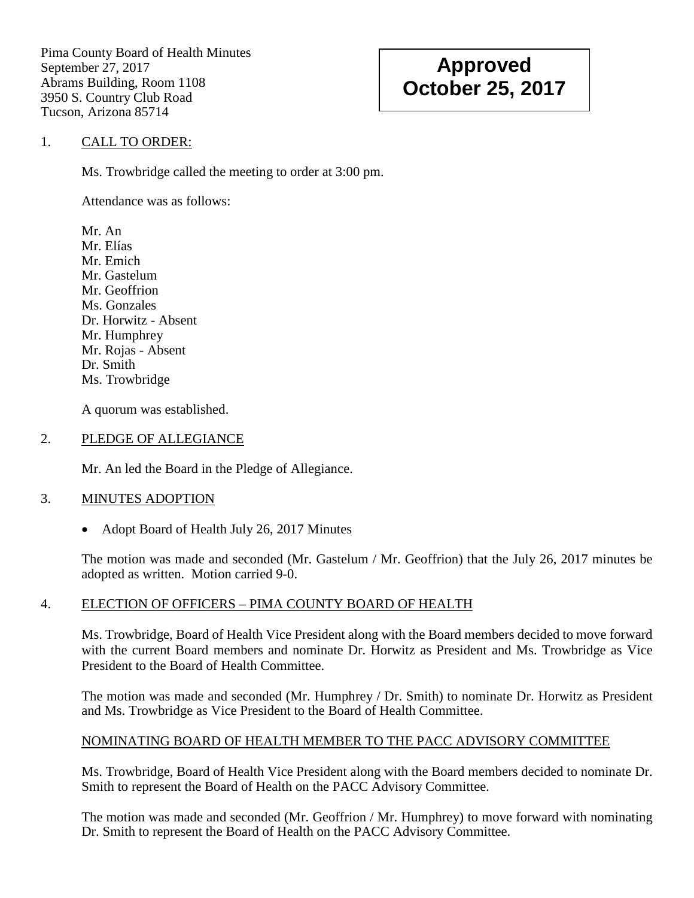Pima County Board of Health Minutes September 27, 2017 Abrams Building, Room 1108 3950 S. Country Club Road Tucson, Arizona 85714

# **Approved October 25, 2017**

## 1. CALL TO ORDER:

Ms. Trowbridge called the meeting to order at 3:00 pm.

Attendance was as follows:

Mr. An Mr. Elías Mr. Emich Mr. Gastelum Mr. Geoffrion Ms. Gonzales Dr. Horwitz - Absent Mr. Humphrey Mr. Rojas - Absent Dr. Smith Ms. Trowbridge

A quorum was established.

## 2. PLEDGE OF ALLEGIANCE

Mr. An led the Board in the Pledge of Allegiance.

## 3. MINUTES ADOPTION

• Adopt Board of Health July 26, 2017 Minutes

The motion was made and seconded (Mr. Gastelum / Mr. Geoffrion) that the July 26, 2017 minutes be adopted as written. Motion carried 9-0.

# 4. ELECTION OF OFFICERS – PIMA COUNTY BOARD OF HEALTH

Ms. Trowbridge, Board of Health Vice President along with the Board members decided to move forward with the current Board members and nominate Dr. Horwitz as President and Ms. Trowbridge as Vice President to the Board of Health Committee.

The motion was made and seconded (Mr. Humphrey / Dr. Smith) to nominate Dr. Horwitz as President and Ms. Trowbridge as Vice President to the Board of Health Committee.

# NOMINATING BOARD OF HEALTH MEMBER TO THE PACC ADVISORY COMMITTEE

Ms. Trowbridge, Board of Health Vice President along with the Board members decided to nominate Dr. Smith to represent the Board of Health on the PACC Advisory Committee.

The motion was made and seconded (Mr. Geoffrion / Mr. Humphrey) to move forward with nominating Dr. Smith to represent the Board of Health on the PACC Advisory Committee.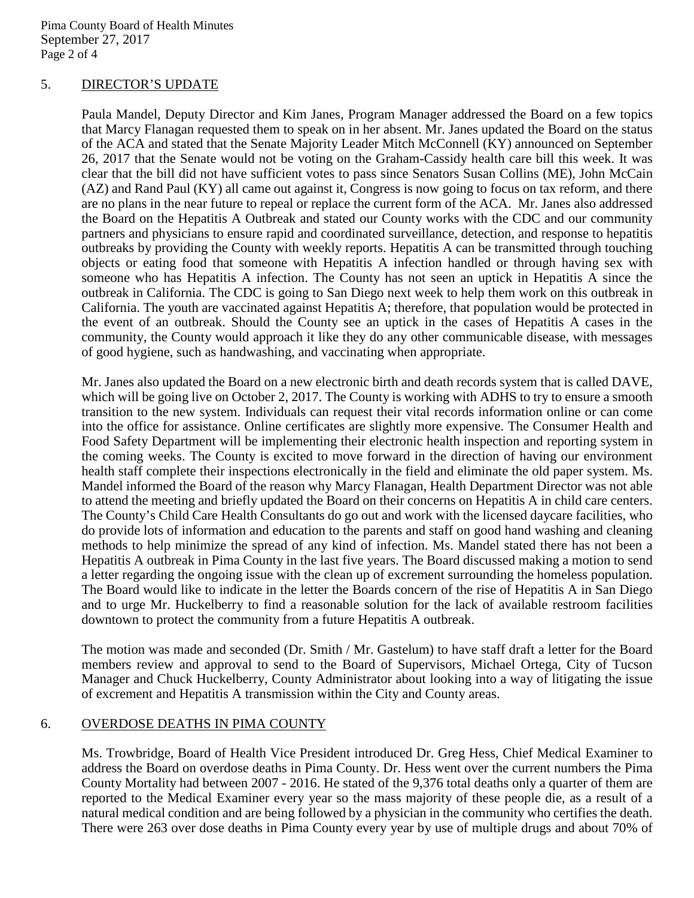## 5. DIRECTOR'S UPDATE

Paula Mandel, Deputy Director and Kim Janes, Program Manager addressed the Board on a few topics that Marcy Flanagan requested them to speak on in her absent. Mr. Janes updated the Board on the status of the ACA and stated that the Senate Majority Leader Mitch McConnell (KY) announced on September 26, 2017 that the Senate would not be voting on the Graham-Cassidy health care bill this week. It was clear that the bill did not have sufficient votes to pass since Senators Susan Collins (ME), John McCain (AZ) and Rand Paul (KY) all came out against it, Congress is now going to focus on tax reform, and there are no plans in the near future to repeal or replace the current form of the ACA. Mr. Janes also addressed the Board on the Hepatitis A Outbreak and stated our County works with the CDC and our community partners and physicians to ensure rapid and coordinated surveillance, detection, and response to hepatitis outbreaks by providing the County with weekly reports. Hepatitis A can be transmitted through touching objects or eating food that someone with Hepatitis A infection handled or through having sex with someone who has Hepatitis A infection. The County has not seen an uptick in Hepatitis A since the outbreak in California. The CDC is going to San Diego next week to help them work on this outbreak in California. The youth are vaccinated against Hepatitis A; therefore, that population would be protected in the event of an outbreak. Should the County see an uptick in the cases of Hepatitis A cases in the community, the County would approach it like they do any other communicable disease, with messages of good hygiene, such as handwashing, and vaccinating when appropriate.

Mr. Janes also updated the Board on a new electronic birth and death records system that is called DAVE, which will be going live on October 2, 2017. The County is working with ADHS to try to ensure a smooth transition to the new system. Individuals can request their vital records information online or can come into the office for assistance. Online certificates are slightly more expensive. The Consumer Health and Food Safety Department will be implementing their electronic health inspection and reporting system in the coming weeks. The County is excited to move forward in the direction of having our environment health staff complete their inspections electronically in the field and eliminate the old paper system. Ms. Mandel informed the Board of the reason why Marcy Flanagan, Health Department Director was not able to attend the meeting and briefly updated the Board on their concerns on Hepatitis A in child care centers. The County's Child Care Health Consultants do go out and work with the licensed daycare facilities, who do provide lots of information and education to the parents and staff on good hand washing and cleaning methods to help minimize the spread of any kind of infection. Ms. Mandel stated there has not been a Hepatitis A outbreak in Pima County in the last five years. The Board discussed making a motion to send a letter regarding the ongoing issue with the clean up of excrement surrounding the homeless population. The Board would like to indicate in the letter the Boards concern of the rise of Hepatitis A in San Diego and to urge Mr. Huckelberry to find a reasonable solution for the lack of available restroom facilities downtown to protect the community from a future Hepatitis A outbreak.

The motion was made and seconded (Dr. Smith / Mr. Gastelum) to have staff draft a letter for the Board members review and approval to send to the Board of Supervisors, Michael Ortega, City of Tucson Manager and Chuck Huckelberry, County Administrator about looking into a way of litigating the issue of excrement and Hepatitis A transmission within the City and County areas.

# 6. OVERDOSE DEATHS IN PIMA COUNTY

Ms. Trowbridge, Board of Health Vice President introduced Dr. Greg Hess, Chief Medical Examiner to address the Board on overdose deaths in Pima County. Dr. Hess went over the current numbers the Pima County Mortality had between 2007 - 2016. He stated of the 9,376 total deaths only a quarter of them are reported to the Medical Examiner every year so the mass majority of these people die, as a result of a natural medical condition and are being followed by a physician in the community who certifies the death. There were 263 over dose deaths in Pima County every year by use of multiple drugs and about 70% of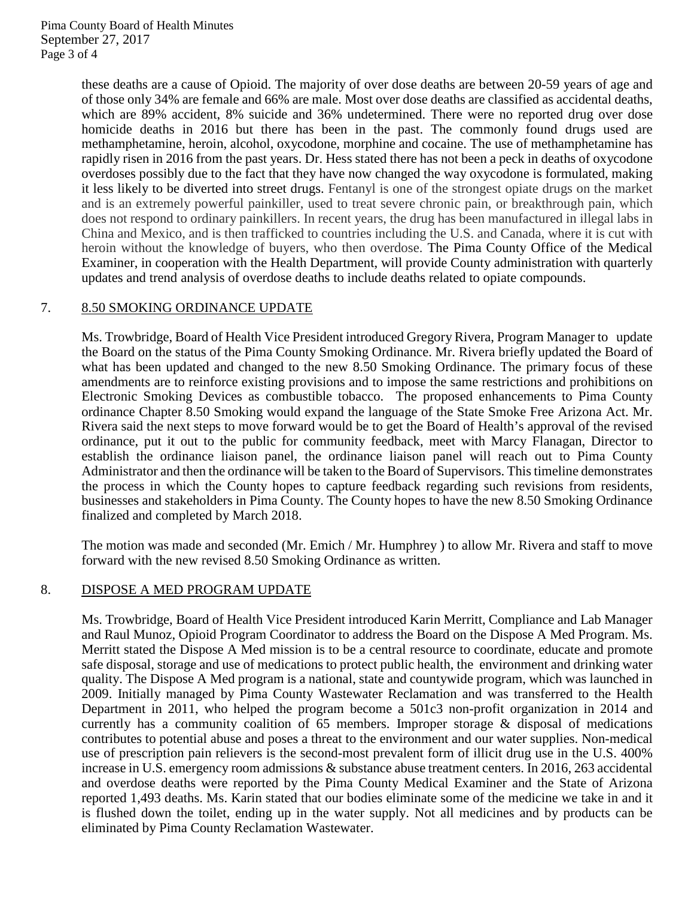Pima County Board of Health Minutes September 27, 2017 Page 3 of 4

> these deaths are a cause of Opioid. The majority of over dose deaths are between 20-59 years of age and of those only 34% are female and 66% are male. Most over dose deaths are classified as accidental deaths, which are 89% accident, 8% suicide and 36% undetermined. There were no reported drug over dose homicide deaths in 2016 but there has been in the past. The commonly found drugs used are methamphetamine, heroin, alcohol, oxycodone, morphine and cocaine. The use of methamphetamine has rapidly risen in 2016 from the past years. Dr. Hess stated there has not been a peck in deaths of oxycodone overdoses possibly due to the fact that they have now changed the way oxycodone is formulated, making it less likely to be diverted into street drugs. Fentanyl is one of the strongest opiate drugs on the market and is an extremely powerful painkiller, used to treat severe chronic pain, or breakthrough pain, which does not respond to ordinary painkillers. In recent years, the drug has been manufactured in illegal labs in China and Mexico, and is then trafficked to countries including the U.S. and Canada, where it is cut with heroin without the knowledge of buyers, who then overdose. The Pima County Office of the Medical Examiner, in cooperation with the Health Department, will provide County administration with quarterly updates and trend analysis of overdose deaths to include deaths related to opiate compounds.

## 7. 8.50 SMOKING ORDINANCE UPDATE

Ms. Trowbridge, Board of Health Vice President introduced Gregory Rivera, Program Manager to update the Board on the status of the Pima County Smoking Ordinance. Mr. Rivera briefly updated the Board of what has been updated and changed to the new 8.50 Smoking Ordinance. The primary focus of these amendments are to reinforce existing provisions and to impose the same restrictions and prohibitions on Electronic Smoking Devices as combustible tobacco. The proposed enhancements to Pima County ordinance Chapter 8.50 Smoking would expand the language of the State Smoke Free Arizona Act. Mr. Rivera said the next steps to move forward would be to get the Board of Health's approval of the revised ordinance, put it out to the public for community feedback, meet with Marcy Flanagan, Director to establish the ordinance liaison panel, the ordinance liaison panel will reach out to Pima County Administrator and then the ordinance will be taken to the Board of Supervisors. This timeline demonstrates the process in which the County hopes to capture feedback regarding such revisions from residents, businesses and stakeholders in Pima County. The County hopes to have the new 8.50 Smoking Ordinance finalized and completed by March 2018.

The motion was made and seconded (Mr. Emich / Mr. Humphrey ) to allow Mr. Rivera and staff to move forward with the new revised 8.50 Smoking Ordinance as written.

## 8. DISPOSE A MED PROGRAM UPDATE

Ms. Trowbridge, Board of Health Vice President introduced Karin Merritt, Compliance and Lab Manager and Raul Munoz, Opioid Program Coordinator to address the Board on the Dispose A Med Program. Ms. Merritt stated the Dispose A Med mission is to be a central resource to coordinate, educate and promote safe disposal, storage and use of medications to protect public health, the environment and drinking water quality. The Dispose A Med program is a national, state and countywide program, which was launched in 2009. Initially managed by Pima County Wastewater Reclamation and was transferred to the Health Department in 2011, who helped the program become a 501c3 non-profit organization in 2014 and currently has a community coalition of 65 members. Improper storage & disposal of medications contributes to potential abuse and poses a threat to the environment and our water supplies. Non-medical use of prescription pain relievers is the second-most prevalent form of illicit drug use in the U.S. 400% increase in U.S. emergency room admissions & substance abuse treatment centers. In 2016, 263 accidental and overdose deaths were reported by the Pima County Medical Examiner and the State of Arizona reported 1,493 deaths. Ms. Karin stated that our bodies eliminate some of the medicine we take in and it is flushed down the toilet, ending up in the water supply. Not all medicines and by products can be eliminated by Pima County Reclamation Wastewater.